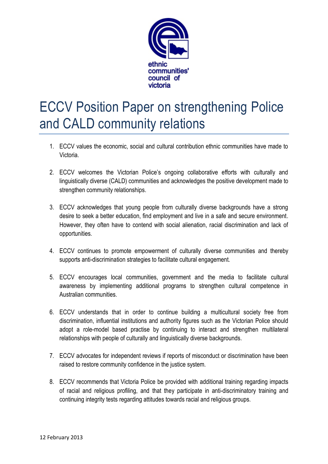

## ECCV Position Paper on strengthening Police and CALD community relations

- 1. ECCV values the economic, social and cultural contribution ethnic communities have made to Victoria.
- 2. ECCV welcomes the Victorian Police's ongoing collaborative efforts with culturally and linguistically diverse (CALD) communities and acknowledges the positive development made to strengthen community relationships.
- 3. ECCV acknowledges that young people from culturally diverse backgrounds have a strong desire to seek a better education, find employment and live in a safe and secure environment. However, they often have to contend with social alienation, racial discrimination and lack of opportunities.
- 4. ECCV continues to promote empowerment of culturally diverse communities and thereby supports anti-discrimination strategies to facilitate cultural engagement.
- 5. ECCV encourages local communities, government and the media to facilitate cultural awareness by implementing additional programs to strengthen cultural competence in Australian communities.
- 6. ECCV understands that in order to continue building a multicultural society free from discrimination, influential institutions and authority figures such as the Victorian Police should adopt a role-model based practise by continuing to interact and strengthen multilateral relationships with people of culturally and linguistically diverse backgrounds.
- 7. ECCV advocates for independent reviews if reports of misconduct or discrimination have been raised to restore community confidence in the justice system.
- 8. ECCV recommends that Victoria Police be provided with additional training regarding impacts of racial and religious profiling, and that they participate in anti-discriminatory training and continuing integrity tests regarding attitudes towards racial and religious groups.